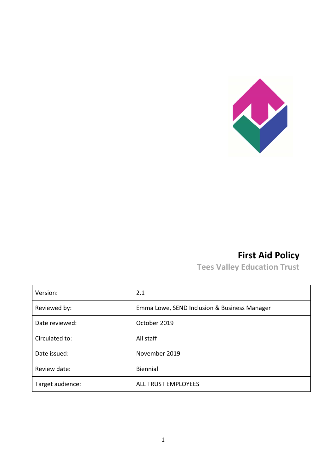

# **First Aid Policy**

**Tees Valley Education Trust**

| Version:         | 2.1                                          |
|------------------|----------------------------------------------|
| Reviewed by:     | Emma Lowe, SEND Inclusion & Business Manager |
| Date reviewed:   | October 2019                                 |
| Circulated to:   | All staff                                    |
| Date issued:     | November 2019                                |
| Review date:     | Biennial                                     |
| Target audience: | <b>ALL TRUST EMPLOYEES</b>                   |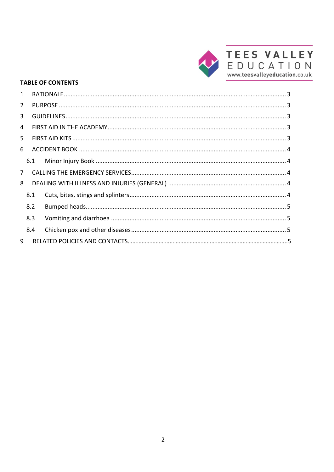

#### **TABLE OF CONTENTS**

| 1              |     |     |  |
|----------------|-----|-----|--|
| 2              |     |     |  |
| $\mathbf{3}$   |     |     |  |
| 4              |     |     |  |
| 5              |     |     |  |
| 6              |     |     |  |
|                |     | 6.1 |  |
| 7 <sup>7</sup> |     |     |  |
| 8              |     |     |  |
|                | 8.1 |     |  |
|                | 8.2 |     |  |
|                | 8.3 |     |  |
|                | 8.4 |     |  |
| 9              |     |     |  |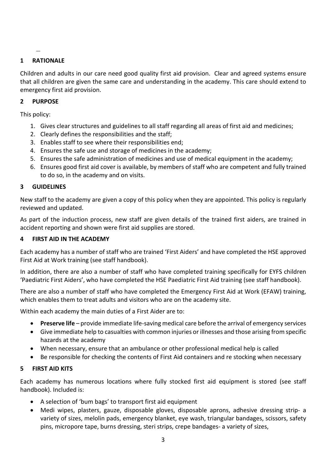## <span id="page-2-0"></span>**1 RATIONALE**

Children and adults in our care need good quality first aid provision. Clear and agreed systems ensure that all children are given the same care and understanding in the academy. This care should extend to emergency first aid provision.

## <span id="page-2-1"></span>**2 PURPOSE**

This policy:

- 1. Gives clear structures and guidelines to all staff regarding all areas of first aid and medicines;
- 2. Clearly defines the responsibilities and the staff;
- 3. Enables staff to see where their responsibilities end;
- 4. Ensures the safe use and storage of medicines in the academy;
- 5. Ensures the safe administration of medicines and use of medical equipment in the academy;
- 6. Ensures good first aid cover is available, by members of staff who are competent and fully trained to do so, in the academy and on visits.

#### <span id="page-2-2"></span>**3 GUIDELINES**

New staff to the academy are given a copy of this policy when they are appointed. This policy is regularly reviewed and updated.

As part of the induction process, new staff are given details of the trained first aiders, are trained in accident reporting and shown were first aid supplies are stored.

#### <span id="page-2-3"></span>**4 FIRST AID IN THE ACADEMY**

Each academy has a number of staff who are trained 'First Aiders' and have completed the HSE approved First Aid at Work training (see staff handbook).

In addition, there are also a number of staff who have completed training specifically for EYFS children 'Paediatric First Aiders', who have completed the HSE Paediatric First Aid training (see staff handbook).

There are also a number of staff who have completed the Emergency First Aid at Work (EFAW) training, which enables them to treat adults and visitors who are on the academy site.

Within each academy the main duties of a First Aider are to:

- **Preserve life** provide immediate life-saving medical care before the arrival of emergency services
- Give immediate help to casualties with common injuries or illnesses and those arising from specific hazards at the academy
- When necessary, ensure that an ambulance or other professional medical help is called
- Be responsible for checking the contents of First Aid containers and re stocking when necessary

## <span id="page-2-4"></span>**5 FIRST AID KITS**

Each academy has numerous locations where fully stocked first aid equipment is stored (see staff handbook). Included is:

- A selection of 'bum bags' to transport first aid equipment
- Medi wipes, plasters, gauze, disposable gloves, disposable aprons, adhesive dressing strip- a variety of sizes, melolin pads, emergency blanket, eye wash, triangular bandages, scissors, safety pins, micropore tape, burns dressing, steri strips, crepe bandages- a variety of sizes,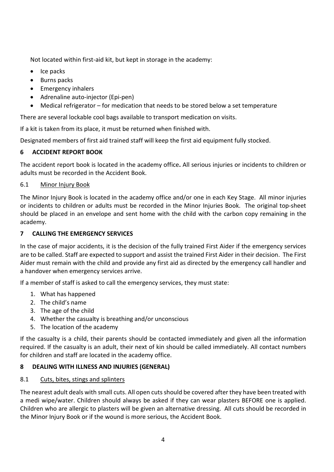Not located within first-aid kit, but kept in storage in the academy:

- Ice packs
- Burns packs
- Emergency inhalers
- Adrenaline auto-iniector (Epi-pen)
- Medical refrigerator for medication that needs to be stored below a set temperature

There are several lockable cool bags available to transport medication on visits.

If a kit is taken from its place, it must be returned when finished with.

Designated members of first aid trained staff will keep the first aid equipment fully stocked.

# <span id="page-3-0"></span>**6 ACCIDENT REPORT BOOK**

The accident report book is located in the academy office**.** All serious injuries or incidents to children or adults must be recorded in the Accident Book.

# <span id="page-3-1"></span>6.1 Minor Injury Book

The Minor Injury Book is located in the academy office and/or one in each Key Stage. All minor injuries or incidents to children or adults must be recorded in the Minor Injuries Book. The original top-sheet should be placed in an envelope and sent home with the child with the carbon copy remaining in the academy.

# <span id="page-3-2"></span>**7 CALLING THE EMERGENCY SERVICES**

In the case of major accidents, it is the decision of the fully trained First Aider if the emergency services are to be called. Staff are expected to support and assist the trained First Aider in their decision. The First Aider must remain with the child and provide any first aid as directed by the emergency call handler and a handover when emergency services arrive.

If a member of staff is asked to call the emergency services, they must state:

- 1. What has happened
- 2. The child's name
- 3. The age of the child
- 4. Whether the casualty is breathing and/or unconscious
- 5. The location of the academy

If the casualty is a child, their parents should be contacted immediately and given all the information required. If the casualty is an adult, their next of kin should be called immediately. All contact numbers for children and staff are located in the academy office.

## <span id="page-3-3"></span>**8 DEALING WITH ILLNESS AND INJURIES (GENERAL)**

## <span id="page-3-4"></span>8.1 Cuts, bites, stings and splinters

The nearest adult deals with small cuts. All open cuts should be covered after they have been treated with a medi wipe/water. Children should always be asked if they can wear plasters BEFORE one is applied. Children who are allergic to plasters will be given an alternative dressing. All cuts should be recorded in the Minor Injury Book or if the wound is more serious, the Accident Book.